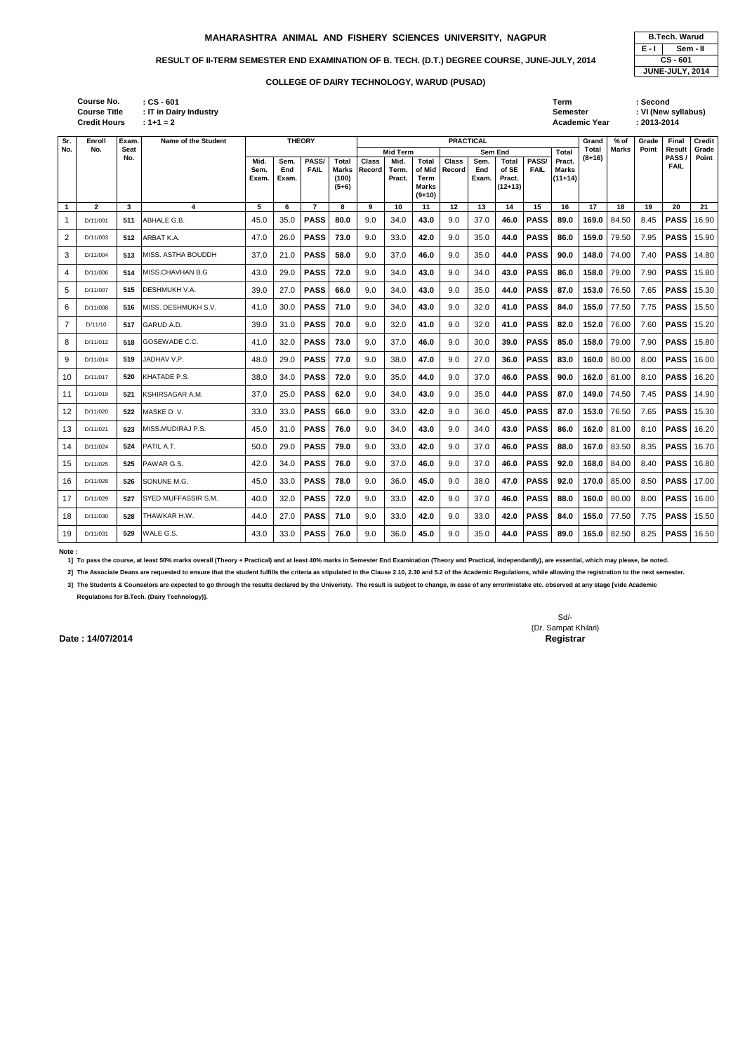| : CS - 601             | Term                 | Second              |
|------------------------|----------------------|---------------------|
| : IT in Dairy Industry | <b>Semester</b>      | : VI (New syllabus) |
| $: 1 + 1 = 2$          | <b>Academic Year</b> | $: 2013 - 2014$     |

| <b>B.Tech. Warud</b> |  |  |  |  |  |  |  |  |
|----------------------|--|--|--|--|--|--|--|--|
| E - I<br>Sem - II    |  |  |  |  |  |  |  |  |
| CS-601               |  |  |  |  |  |  |  |  |
| JUNE-JULY, 2014      |  |  |  |  |  |  |  |  |

| Sr.            | Enroll       | Exam.              | Name of the Student | <b>THEORY</b>         |                      |                      |                                           | <b>PRACTICAL</b>       |                         |                                                            |                 |                      |                                              |                      |                                     |                        | $%$ of       | Grade | <b>Final</b>   | Credit         |
|----------------|--------------|--------------------|---------------------|-----------------------|----------------------|----------------------|-------------------------------------------|------------------------|-------------------------|------------------------------------------------------------|-----------------|----------------------|----------------------------------------------|----------------------|-------------------------------------|------------------------|--------------|-------|----------------|----------------|
| No.            | No.          | <b>Seat</b><br>No. |                     |                       |                      |                      |                                           |                        | <b>Mid Term</b>         |                                                            |                 |                      | <b>Sem End</b>                               |                      | <b>Total</b>                        | <b>Total</b><br>(8+16) | <b>Marks</b> | Point | Result<br>PASS | Grade<br>Point |
|                |              |                    |                     | Mid.<br>Sem.<br>Exam. | Sem.<br>End<br>Exam. | PASS/<br><b>FAIL</b> | <b>Total</b><br>Marks<br>(100)<br>$(5+6)$ | <b>Class</b><br>Record | Mid.<br>Term.<br>Pract. | <b>Total</b><br>of Mid<br>Term<br><b>Marks</b><br>$(9+10)$ | Class<br>Record | Sem.<br>End<br>Exam. | <b>Total</b><br>of SE<br>Pract.<br>$(12+13)$ | PASS/<br><b>FAIL</b> | Pract.<br><b>Marks</b><br>$(11+14)$ |                        |              |       | <b>FAIL</b>    |                |
| $\mathbf{1}$   | $\mathbf{2}$ | 3                  | 4                   | 5                     | 6                    | $\overline{7}$       | 8                                         | 9                      | 10                      | 11                                                         | 12              | 13                   | 14                                           | 15                   | 16                                  | 17                     | 18           | 19    | 20             | 21             |
| $\mathbf{1}$   | D/11/001     | 511                | ABHALE G.B.         | 45.0                  | 35.0                 | <b>PASS</b>          | 80.0                                      | 9.0                    | 34.0                    | 43.0                                                       | 9.0             | 37.0                 | 46.0                                         | <b>PASS</b>          | 89.0                                | 169.0                  | 84.50        | 8.45  | <b>PASS</b>    | 16.90          |
| 2              | D/11/003     | 512                | ARBAT K.A.          | 47.0                  | 26.0                 | <b>PASS</b>          | 73.0                                      | 9.0                    | 33.0                    | 42.0                                                       | 9.0             | 35.0                 | 44.0                                         | <b>PASS</b>          | 86.0                                | 159.0                  | 79.50        | 7.95  | <b>PASS</b>    | 15.90          |
| 3              | D/11/004     | 513                | MISS. ASTHA BOUDDH  | 37.0                  | 21.0                 | <b>PASS</b>          | 58.0                                      | 9.0                    | 37.0                    | 46.0                                                       | 9.0             | 35.0                 | 44.0                                         | <b>PASS</b>          | 90.0                                | 148.0                  | 74.00        | 7.40  | <b>PASS</b>    | 14.80          |
| 4              | D/11/006     | 514                | MISS.CHAVHAN B.G    | 43.0                  | 29.0                 | <b>PASS</b>          | 72.0                                      | 9.0                    | 34.0                    | 43.0                                                       | 9.0             | 34.0                 | 43.0                                         | <b>PASS</b>          | 86.0                                | 158.0                  | 79.00        | 7.90  | <b>PASS</b>    | 15.80          |
| 5              | D/11/007     | 515                | DESHMUKH V.A.       | 39.0                  | 27.0                 | <b>PASS</b>          | 66.0                                      | 9.0                    | 34.0                    | 43.0                                                       | 9.0             | 35.0                 | 44.0                                         | <b>PASS</b>          | 87.0                                | 153.0                  | 76.50        | 7.65  | <b>PASS</b>    | 15.30          |
| 6              | D/11/008     | 516                | MISS. DESHMUKH S.V. | 41.0                  | 30.0                 | <b>PASS</b>          | 71.0                                      | 9.0                    | 34.0                    | 43.0                                                       | 9.0             | 32.0                 | 41.0                                         | <b>PASS</b>          | 84.0                                | 155.0                  | 77.50        | 7.75  | <b>PASS</b>    | 15.50          |
| $\overline{7}$ | D/11/10      | 517                | GARUD A.D.          | 39.0                  | 31.0                 | <b>PASS</b>          | 70.0                                      | 9.0                    | 32.0                    | 41.0                                                       | 9.0             | 32.0                 | 41.0                                         | <b>PASS</b>          | 82.0                                | 152.0                  | 76.00        | 7.60  | <b>PASS</b>    | 15.20          |
| 8              | D/11/012     | 518                | GOSEWADE C.C.       | 41.0                  | 32.0                 | <b>PASS</b>          | 73.0                                      | 9.0                    | 37.0                    | 46.0                                                       | 9.0             | 30.0                 | 39.0                                         | <b>PASS</b>          | 85.0                                | 158.0                  | 79.00        | 7.90  | <b>PASS</b>    | 15.80          |
| 9              | D/11/014     | 519                | JADHAV V.P.         | 48.0                  | 29.0                 | <b>PASS</b>          | 77.0                                      | 9.0                    | 38.0                    | 47.0                                                       | 9.0             | 27.0                 | 36.0                                         | <b>PASS</b>          | 83.0                                | 160.0                  | 80.00        | 8.00  | <b>PASS</b>    | 16.00          |
| 10             | D/11/017     | 520                | KHATADE P.S.        | 38.0                  | 34.0                 | <b>PASS</b>          | 72.0                                      | 9.0                    | 35.0                    | 44.0                                                       | 9.0             | 37.0                 | 46.0                                         | <b>PASS</b>          | 90.0                                | 162.0                  | 81.00        | 8.10  | <b>PASS</b>    | 16.20          |
| 11             | D/11/019     | 521                | KSHIRSAGAR A.M.     | 37.0                  | 25.0                 | <b>PASS</b>          | 62.0                                      | 9.0                    | 34.0                    | 43.0                                                       | 9.0             | 35.0                 | 44.0                                         | <b>PASS</b>          | 87.0                                | 149.0                  | 74.50        | 7.45  | <b>PASS</b>    | 14.90          |
| 12             | D/11/020     | 522                | MASKE D.V.          | 33.0                  | 33.0                 | <b>PASS</b>          | 66.0                                      | 9.0                    | 33.0                    | 42.0                                                       | 9.0             | 36.0                 | 45.0                                         | <b>PASS</b>          | 87.0                                | 153.0                  | 76.50        | 7.65  | <b>PASS</b>    | 15.30          |
| 13             | D/11/021     | 523                | MISS.MUDIRAJ P.S.   | 45.0                  | 31.0                 | <b>PASS</b>          | 76.0                                      | 9.0                    | 34.0                    | 43.0                                                       | 9.0             | 34.0                 | 43.0                                         | <b>PASS</b>          | 86.0                                | 162.0                  | 81.00        | 8.10  | <b>PASS</b>    | 16.20          |
| 14             | D/11/024     | 524                | PATIL A.T.          | 50.0                  | 29.0                 | <b>PASS</b>          | 79.0                                      | 9.0                    | 33.0                    | 42.0                                                       | 9.0             | 37.0                 | 46.0                                         | <b>PASS</b>          | 88.0                                | 167.0                  | 83.50        | 8.35  | <b>PASS</b>    | 16.70          |
| 15             | D/11/025     | 525                | PAWAR G.S.          | 42.0                  | 34.0                 | <b>PASS</b>          | 76.0                                      | 9.0                    | 37.0                    | 46.0                                                       | 9.0             | 37.0                 | 46.0                                         | <b>PASS</b>          | 92.0                                | 168.0                  | 84.00        | 8.40  | <b>PASS</b>    | 16.80          |
| 16             | D/11/028     | 526                | SONUNE M.G.         | 45.0                  | 33.0                 | <b>PASS</b>          | 78.0                                      | 9.0                    | 36.0                    | 45.0                                                       | 9.0             | 38.0                 | 47.0                                         | <b>PASS</b>          | 92.0                                | 170.0                  | 85.00        | 8.50  | <b>PASS</b>    | 17.00          |
| 17             | D/11/029     | 527                | SYED MUFFASSIR S.M. | 40.0                  | 32.0                 | <b>PASS</b>          | 72.0                                      | 9.0                    | 33.0                    | 42.0                                                       | 9.0             | 37.0                 | 46.0                                         | <b>PASS</b>          | 88.0                                | 160.0                  | 80.00        | 8.00  | <b>PASS</b>    | 16.00          |
| 18             | D/11/030     | 528                | THAWKAR H.W.        | 44.0                  | 27.0                 | <b>PASS</b>          | 71.0                                      | 9.0                    | 33.0                    | 42.0                                                       | 9.0             | 33.0                 | 42.0                                         | <b>PASS</b>          | 84.0                                | 155.0                  | 77.50        | 7.75  | <b>PASS</b>    | 15.50          |
| 19             | D/11/031     | 529                | WALE G.S.           | 43.0                  | 33.0                 | <b>PASS</b>          | 76.0                                      | 9.0                    | 36.0                    | 45.0                                                       | 9.0             | 35.0                 | 44.0                                         | <b>PASS</b>          | 89.0                                | 165.0                  | 82.50        | 8.25  | <b>PASS</b>    | 16.50          |

**Note :** 

**1] To pass the course, at least 50% marks overall (Theory + Practical) and at least 40% marks in Semester End Examination (Theory and Practical, independantly), are essential, which may please, be noted.**

**2] The Associate Deans are requested to ensure that the student fulfills the criteria as stipulated in the Clause 2.10, 2.30 and 5.2 of the Academic Regulations, while allowing the registration to the next semester.**

**3] The Students & Counselors are expected to go through the results declared by the Univeristy. The result is subject to change, in case of any error/mistake etc. observed at any stage [vide Academic Regulations for B.Tech. (Dairy Technology)].**

> Sd/- (Dr. Sampat Khilari)

**Date : 14/07/2014** Registrar

**Credit Hours Course No. Course Title : IT in Dairy Industry**

# **MAHARASHTRA ANIMAL AND FISHERY SCIENCES UNIVERSITY, NAGPUR**

# RESULT OF II-TERM SEMESTER END EXAMINATION OF B. TECH. (D.T.) DEGREE COURSE, JUNE-JULY, 2014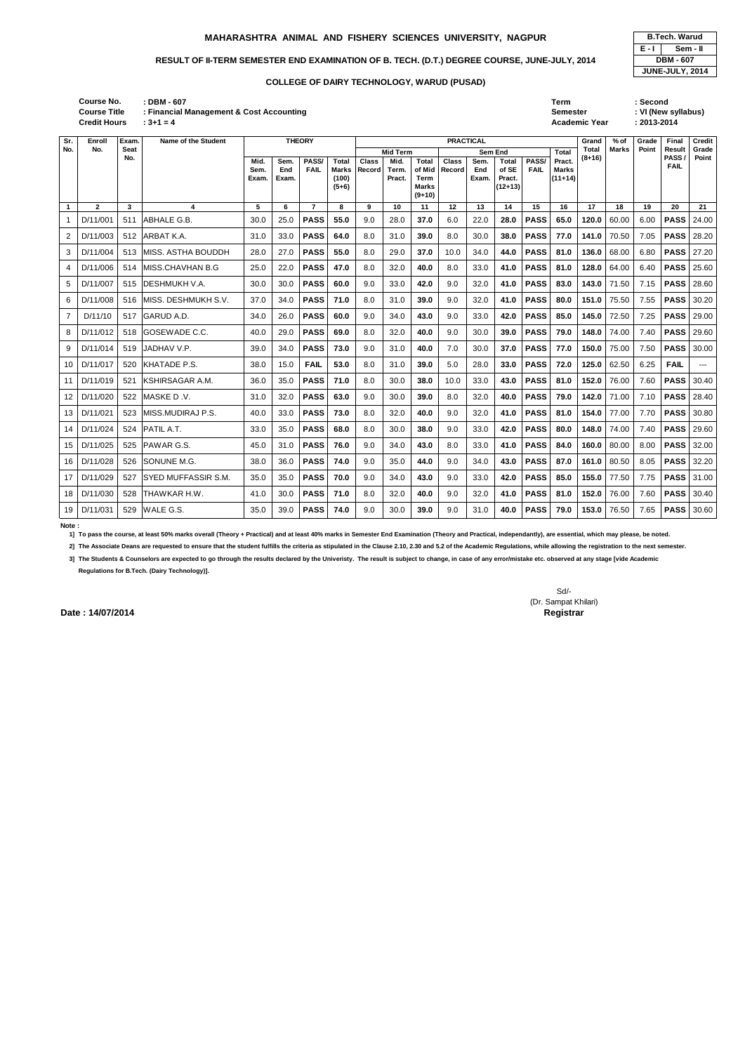Semester : VI (New syllabus) **: 3+1 = 4 Academic Year : 2013-2014**

|       | <b>B.Tech. Warud</b> |  |  |  |  |  |  |  |  |  |
|-------|----------------------|--|--|--|--|--|--|--|--|--|
| E - I | Sem - II             |  |  |  |  |  |  |  |  |  |
|       | <b>DBM - 607</b>     |  |  |  |  |  |  |  |  |  |
|       | JUNE-JULY, 2014      |  |  |  |  |  |  |  |  |  |

| <b>Course No.</b>   | <b>DBM - 607</b>                         | Term                 | Second  |
|---------------------|------------------------------------------|----------------------|---------|
| <b>Course Title</b> | : Financial Management & Cost Accounting | Semester             | VI (New |
| <b>Credit Hours</b> | $3+1=4$                                  | <b>Academic Year</b> | 2013-20 |

| Sr.            | Enroll       | Exam.       | Name of the Student        | <b>THEORY</b>         |                      |                      |                                                  | <b>PRACTICAL</b>       |                         |                                                     |                        |                             |                                            |                      |                                     |              | % of         | Grade | Final               | <b>Credit</b> |
|----------------|--------------|-------------|----------------------------|-----------------------|----------------------|----------------------|--------------------------------------------------|------------------------|-------------------------|-----------------------------------------------------|------------------------|-----------------------------|--------------------------------------------|----------------------|-------------------------------------|--------------|--------------|-------|---------------------|---------------|
| No.            | No.          | <b>Seat</b> |                            |                       |                      |                      |                                                  |                        | <b>Mid Term</b>         |                                                     |                        |                             | Sem End                                    |                      | Total                               | <b>Total</b> | <b>Marks</b> | Point | Result              | Grade         |
|                |              | No.         |                            | Mid.<br>Sem.<br>Exam. | Sem.<br>End<br>Exam. | PASS/<br><b>FAIL</b> | <b>Total</b><br><b>Marks</b><br>(100)<br>$(5+6)$ | <b>Class</b><br>Record | Mid.<br>Term.<br>Pract. | <b>Total</b><br>of Mid<br>Term<br>Marks<br>$(9+10)$ | <b>Class</b><br>Record | Sem.<br><b>End</b><br>Exam. | <b>Total</b><br>of SE<br>Pract.<br>(12+13) | PASS/<br><b>FAIL</b> | Pract.<br><b>Marks</b><br>$(11+14)$ | $(8+16)$     |              |       | PASS<br><b>FAIL</b> | Point         |
| $\mathbf{1}$   | $\mathbf{2}$ | 3           | 4                          | 5                     | 6                    | $\overline{7}$       | 8                                                | 9                      | 10                      | 11                                                  | 12                     | 13                          | 14                                         | 15                   | 16                                  | 17           | 18           | 19    | 20                  | 21            |
|                | D/11/001     | 511         | ABHALE G.B.                | 30.0                  | 25.0                 | <b>PASS</b>          | 55.0                                             | 9.0                    | 28.0                    | 37.0                                                | 6.0                    | 22.0                        | 28.0                                       | <b>PASS</b>          | 65.0                                | 120.0        | 60.00        | 6.00  | <b>PASS</b>         | 24.00         |
| 2              | D/11/003     | 512         | ARBAT K.A.                 | 31.0                  | 33.0                 | <b>PASS</b>          | 64.0                                             | 8.0                    | 31.0                    | 39.0                                                | 8.0                    | 30.0                        | 38.0                                       | <b>PASS</b>          | 77.0                                | 141.0        | 70.50        | 7.05  | <b>PASS</b>         | 28.20         |
| 3              | D/11/004     | 513         | MISS. ASTHA BOUDDH         | 28.0                  | 27.0                 | <b>PASS</b>          | 55.0                                             | 8.0                    | 29.0                    | 37.0                                                | 10.0                   | 34.0                        | 44.0                                       | <b>PASS</b>          | 81.0                                | 136.0        | 68.00        | 6.80  | <b>PASS</b>         | 27.20         |
| 4              | D/11/006     | 514         | MISS.CHAVHAN B.G           | 25.0                  | 22.0                 | <b>PASS</b>          | 47.0                                             | 8.0                    | 32.0                    | 40.0                                                | 8.0                    | 33.0                        | 41.0                                       | <b>PASS</b>          | 81.0                                | 128.0        | 64.00        | 6.40  | <b>PASS</b>         | 25.60         |
| 5              | D/11/007     | 515         | <b>DESHMUKH V.A.</b>       | 30.0                  | 30.0                 | <b>PASS</b>          | 60.0                                             | 9.0                    | 33.0                    | 42.0                                                | 9.0                    | 32.0                        | 41.0                                       | <b>PASS</b>          | 83.0                                | 143.0        | 71.50        | 7.15  | <b>PASS</b>         | 28.60         |
| 6              | D/11/008     | 516         | MISS. DESHMUKH S.V.        | 37.0                  | 34.0                 | <b>PASS</b>          | 71.0                                             | 8.0                    | 31.0                    | 39.0                                                | 9.0                    | 32.0                        | 41.0                                       | <b>PASS</b>          | 80.0                                | 151.0        | 75.50        | 7.55  | <b>PASS</b>         | 30.20         |
| $\overline{7}$ | D/11/10      | 517         | GARUD A.D.                 | 34.0                  | 26.0                 | <b>PASS</b>          | 60.0                                             | 9.0                    | 34.0                    | 43.0                                                | 9.0                    | 33.0                        | 42.0                                       | <b>PASS</b>          | 85.0                                | 145.0        | 72.50        | 7.25  | <b>PASS</b>         | 29.00         |
| 8              | D/11/012     | 518         | GOSEWADE C.C.              | 40.0                  | 29.0                 | <b>PASS</b>          | 69.0                                             | 8.0                    | 32.0                    | 40.0                                                | 9.0                    | 30.0                        | 39.0                                       | <b>PASS</b>          | 79.0                                | 148.0        | 74.00        | 7.40  | <b>PASS</b>         | 29.60         |
| 9              | D/11/014     | 519         | <b>JADHAV V.P.</b>         | 39.0                  | 34.0                 | <b>PASS</b>          | 73.0                                             | 9.0                    | 31.0                    | 40.0                                                | 7.0                    | 30.0                        | 37.0                                       | <b>PASS</b>          | 77.0                                | 150.0        | 75.00        | 7.50  | <b>PASS</b>         | 30.00         |
| 10             | D/11/017     | 520         | KHATADE P.S.               | 38.0                  | 15.0                 | <b>FAIL</b>          | 53.0                                             | 8.0                    | 31.0                    | 39.0                                                | 5.0                    | 28.0                        | 33.0                                       | <b>PASS</b>          | 72.0                                | 125.0        | 62.50        | 6.25  | <b>FAIL</b>         | ---           |
| 11             | D/11/019     | 521         | IKSHIRSAGAR A.M.           | 36.0                  | 35.0                 | <b>PASS</b>          | 71.0                                             | 8.0                    | 30.0                    | 38.0                                                | 10.0                   | 33.0                        | 43.0                                       | <b>PASS</b>          | 81.0                                | 152.0        | 76.00        | 7.60  | <b>PASS</b>         | 30.40         |
| 12             | D/11/020     | 522         | MASKE D.V.                 | 31.0                  | 32.0                 | <b>PASS</b>          | 63.0                                             | 9.0                    | 30.0                    | 39.0                                                | 8.0                    | 32.0                        | 40.0                                       | <b>PASS</b>          | 79.0                                | 142.0        | 71.00        | 7.10  | <b>PASS</b>         | 28.40         |
| 13             | D/11/021     | 523         | MISS.MUDIRAJ P.S.          | 40.0                  | 33.0                 | <b>PASS</b>          | 73.0                                             | 8.0                    | 32.0                    | 40.0                                                | 9.0                    | 32.0                        | 41.0                                       | <b>PASS</b>          | 81.0                                | 154.0        | 77.00        | 7.70  | <b>PASS</b>         | 30.80         |
| 14             | D/11/024     | 524         | PATIL A.T.                 | 33.0                  | 35.0                 | <b>PASS</b>          | 68.0                                             | 8.0                    | 30.0                    | 38.0                                                | 9.0                    | 33.0                        | 42.0                                       | <b>PASS</b>          | 80.0                                | 148.0        | 74.00        | 7.40  | <b>PASS</b>         | 29.60         |
| 15             | D/11/025     | 525         | PAWAR G.S.                 | 45.0                  | 31.0                 | <b>PASS</b>          | 76.0                                             | 9.0                    | 34.0                    | 43.0                                                | 8.0                    | 33.0                        | 41.0                                       | <b>PASS</b>          | 84.0                                | 160.0        | 80.00        | 8.00  | <b>PASS</b>         | 32.00         |
| 16             | D/11/028     | 526         | <b>SONUNE M.G.</b>         | 38.0                  | 36.0                 | <b>PASS</b>          | 74.0                                             | 9.0                    | 35.0                    | 44.0                                                | 9.0                    | 34.0                        | 43.0                                       | <b>PASS</b>          | 87.0                                | 161.0        | 80.50        | 8.05  | <b>PASS</b>         | 32.20         |
| 17             | D/11/029     | 527         | <b>SYED MUFFASSIR S.M.</b> | 35.0                  | 35.0                 | <b>PASS</b>          | 70.0                                             | 9.0                    | 34.0                    | 43.0                                                | 9.0                    | 33.0                        | 42.0                                       | <b>PASS</b>          | 85.0                                | 155.0        | 77.50        | 7.75  | <b>PASS</b>         | 31.00         |
| 18             | D/11/030     | 528         | <b>THAWKAR H.W.</b>        | 41.0                  | 30.0                 | <b>PASS</b>          | 71.0                                             | 8.0                    | 32.0                    | 40.0                                                | 9.0                    | 32.0                        | 41.0                                       | <b>PASS</b>          | 81.0                                | 152.0        | 76.00        | 7.60  | <b>PASS</b>         | 30.40         |
| 19             | D/11/031     | 529         | WALE G.S.                  | 35.0                  | 39.0                 | <b>PASS</b>          | 74.0                                             | 9.0                    | 30.0                    | 39.0                                                | 9.0                    | 31.0                        | 40.0                                       | <b>PASS</b>          | 79.0                                | 153.0        | 76.50        | 7.65  | <b>PASS</b>         | 30.60         |

#### **Note :**

**1] To pass the course, at least 50% marks overall (Theory + Practical) and at least 40% marks in Semester End Examination (Theory and Practical, independantly), are essential, which may please, be noted.**

**2] The Associate Deans are requested to ensure that the student fulfills the criteria as stipulated in the Clause 2.10, 2.30 and 5.2 of the Academic Regulations, while allowing the registration to the next semester.**

**3] The Students & Counselors are expected to go through the results declared by the Univeristy. The result is subject to change, in case of any error/mistake etc. observed at any stage [vide Academic Regulations for B.Tech. (Dairy Technology)].**

**Date : 14/07/2014** Registrar

Sd/- (Dr. Sampat Khilari)

# **MAHARASHTRA ANIMAL AND FISHERY SCIENCES UNIVERSITY, NAGPUR**

# RESULT OF II-TERM SEMESTER END EXAMINATION OF B. TECH. (D.T.) DEGREE COURSE, JUNE-JULY, 2014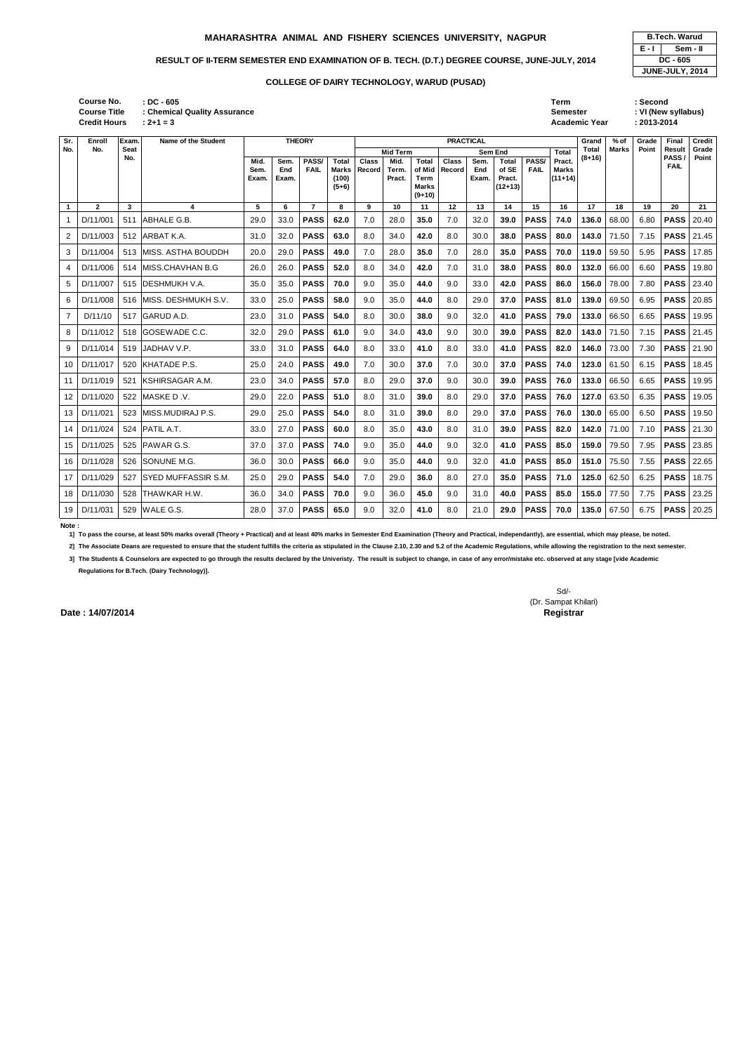| <b>B.Tech. Warud</b> |                 |  |  |  |  |  |  |  |
|----------------------|-----------------|--|--|--|--|--|--|--|
| E - I                | Sem - II        |  |  |  |  |  |  |  |
| $DC - 605$           |                 |  |  |  |  |  |  |  |
|                      | JUNE-JULY, 2014 |  |  |  |  |  |  |  |

**: DC - 605 Term : Second Credit Hours Course No. Course Title : Chemical Quality Assurance**

|                  | <b>Course Title</b><br><b>Credit Hours</b> |                    | : Chemical Quality Assurance<br>$: 2 + 1 = 3$ |                       |                      |                      |                                                  |                        |                                            |                                                                   |                        |                      |                                                |                      | Semester<br>Academic Year                           |                          |              | : VI (New syllabus)<br>: 2013-2014 |                                                   |                |
|------------------|--------------------------------------------|--------------------|-----------------------------------------------|-----------------------|----------------------|----------------------|--------------------------------------------------|------------------------|--------------------------------------------|-------------------------------------------------------------------|------------------------|----------------------|------------------------------------------------|----------------------|-----------------------------------------------------|--------------------------|--------------|------------------------------------|---------------------------------------------------|----------------|
| Sr.              | Enroll                                     | Exam.              | Name of the Student                           |                       |                      | <b>THEORY</b>        |                                                  |                        |                                            |                                                                   | <b>PRACTICAL</b>       |                      | Grand                                          | $%$ of               | Grade                                               | Final                    | Credit       |                                    |                                                   |                |
| No.              | No.                                        | <b>Seat</b><br>No. |                                               | Mid.<br>Sem.<br>Exam. | Sem.<br>End<br>Exam. | PASS/<br><b>FAIL</b> | <b>Total</b><br><b>Marks</b><br>(100)<br>$(5+6)$ | <b>Class</b><br>Record | <b>Mid Term</b><br>Mid.<br>Term.<br>Pract. | <b>Total</b><br>of Mid<br><b>Term</b><br><b>Marks</b><br>$(9+10)$ | <b>Class</b><br>Record | Sem.<br>End<br>Exam. | Sem End<br>Total<br>of SE<br>Pract.<br>(12+13) | PASS/<br><b>FAIL</b> | <b>Total</b><br>Pract.<br><b>Marks</b><br>$(11+14)$ | <b>Total</b><br>$(8+16)$ | <b>Marks</b> | Point                              | <b>Result</b><br>PASS <sub>1</sub><br><b>FAIL</b> | Grade<br>Point |
| $\mathbf{1}$     | $\overline{2}$                             | 3                  | 4                                             | 5                     | 6                    | $\overline{7}$       | 8                                                | 9                      | 10                                         | 11                                                                | $\overline{12}$        | 13                   | 14                                             | 15                   | 16                                                  | 17                       | 18           | 19                                 | 20                                                | 21             |
| $\mathbf 1$      | D/11/001                                   | 511                | <b>ABHALE G.B.</b>                            | 29.0                  | 33.0                 | <b>PASS</b>          | 62.0                                             | 7.0                    | 28.0                                       | 35.0                                                              | 7.0                    | 32.0                 | 39.0                                           | <b>PASS</b>          | 74.0                                                | 136.0                    | 68.00        | 6.80                               | <b>PASS</b>                                       | 20.40          |
| $\boldsymbol{2}$ | D/11/003                                   | 512                | ARBAT K.A.                                    | 31.0                  | 32.0                 | <b>PASS</b>          | 63.0                                             | 8.0                    | 34.0                                       | 42.0                                                              | 8.0                    | 30.0                 | 38.0                                           | <b>PASS</b>          | 80.0                                                | 143.0                    | 71.50        | 7.15                               | <b>PASS</b>                                       | 21.45          |
| 3                | D/11/004                                   | 513                | MISS. ASTHA BOUDDH                            | 20.0                  | 29.0                 | <b>PASS</b>          | 49.0                                             | 7.0                    | 28.0                                       | 35.0                                                              | 7.0                    | 28.0                 | 35.0                                           | <b>PASS</b>          | 70.0                                                | 119.0                    | 59.50        | 5.95                               | <b>PASS</b>                                       | 17.85          |
| $\overline{a}$   | D/11/006                                   | 514                | MISS.CHAVHAN B.G                              | 26.0                  | 26.0                 | <b>PASS</b>          | 52.0                                             | 8.0                    | 34.0                                       | 42.0                                                              | 7.0                    | 31.0                 | 38.0                                           | <b>PASS</b>          | 80.0                                                | 132.0                    | 66.00        | 6.60                               | <b>PASS</b>                                       | 19.80          |
| 5                | D/11/007                                   | 515                | IDESHMUKH V.A.                                | 35.0                  | 35.0                 | <b>PASS</b>          | 70.0                                             | 9.0                    | 35.0                                       | 44.0                                                              | 9.0                    | 33.0                 | 42.0                                           | <b>PASS</b>          | 86.0                                                | 156.0                    | 78.00        | 7.80                               | <b>PASS</b>                                       | 23.40          |
| 6                | D/11/008                                   | 516                | MISS. DESHMUKH S.V.                           | 33.0                  | 25.0                 | <b>PASS</b>          | 58.0                                             | 9.0                    | 35.0                                       | 44.0                                                              | 8.0                    | 29.0                 | 37.0                                           | <b>PASS</b>          | 81.0                                                | 139.0                    | 69.50        | 6.95                               | <b>PASS</b>                                       | 20.85          |
| $\overline{7}$   | D/11/10                                    | 517                | <b>GARUD A.D.</b>                             | 23.0                  | 31.0                 | <b>PASS</b>          | 54.0                                             | 8.0                    | 30.0                                       | 38.0                                                              | 9.0                    | 32.0                 | 41.0                                           | <b>PASS</b>          | 79.0                                                | 133.0                    | 66.50        | 6.65                               | <b>PASS</b>                                       | 19.95          |
| 8                | D/11/012                                   | 518                | <b>IGOSEWADE C.C.</b>                         | 32.0                  | 29.0                 | <b>PASS</b>          | 61.0                                             | 9.0                    | 34.0                                       | 43.0                                                              | 9.0                    | 30.0                 | 39.0                                           | <b>PASS</b>          | 82.0                                                | 143.0                    | 71.50        | 7.15                               | <b>PASS</b>                                       | 21.45          |
| 9                | D/11/014                                   | 519                | JADHAV V.P.                                   | 33.0                  | 31.0                 | <b>PASS</b>          | 64.0                                             | 8.0                    | 33.0                                       | 41.0                                                              | 8.0                    | 33.0                 | 41.0                                           | <b>PASS</b>          | 82.0                                                | 146.0                    | 73.00        | 7.30                               | <b>PASS</b>                                       | 21.90          |
| 10               | D/11/017                                   | 520                | KHATADE P.S.                                  | 25.0                  | 24.0                 | <b>PASS</b>          | 49.0                                             | 7.0                    | 30.0                                       | 37.0                                                              | $7.0$                  | 30.0                 | 37.0                                           | <b>PASS</b>          | 74.0                                                | 123.0                    | 61.50        | 6.15                               | <b>PASS</b>                                       | 18.45          |
| 11               | D/11/019                                   | 521                | <b>KSHIRSAGAR A.M.</b>                        | 23.0                  | 34.0                 | <b>PASS</b>          | 57.0                                             | 8.0                    | 29.0                                       | 37.0                                                              | 9.0                    | 30.0                 | 39.0                                           | <b>PASS</b>          | 76.0                                                | 133.0                    | 66.50        | 6.65                               | <b>PASS</b>                                       | 19.95          |
| 12               | D/11/020                                   | 522                | MASKE D.V.                                    | 29.0                  | 22.0                 | <b>PASS</b>          | 51.0                                             | 8.0                    | 31.0                                       | 39.0                                                              | 8.0                    | 29.0                 | 37.0                                           | <b>PASS</b>          | 76.0                                                | 127.0                    | 63.50        | 6.35                               | <b>PASS</b>                                       | 19.05          |
| 13               | D/11/021                                   | 523                | MISS.MUDIRAJ P.S.                             | 29.0                  | 25.0                 | <b>PASS</b>          | 54.0                                             | 8.0                    | 31.0                                       | 39.0                                                              | 8.0                    | 29.0                 | 37.0                                           | <b>PASS</b>          | 76.0                                                | 130.0                    | 65.00        | 6.50                               | <b>PASS</b>                                       | 19.50          |
| 14               | D/11/024                                   | 524                | PATIL A.T.                                    | 33.0                  | 27.0                 | <b>PASS</b>          | 60.0                                             | 8.0                    | 35.0                                       | 43.0                                                              | 8.0                    | 31.0                 | 39.0                                           | <b>PASS</b>          | 82.0                                                | 142.0                    | 71.00        | 7.10                               | <b>PASS</b>                                       | 21.30          |
| 15               | D/11/025                                   | 525                | PAWAR G.S.                                    | 37.0                  | 37.0                 | <b>PASS</b>          | 74.0                                             | 9.0                    | 35.0                                       | 44.0                                                              | 9.0                    | 32.0                 | 41.0                                           | <b>PASS</b>          | 85.0                                                | 159.0                    | 79.50        | 7.95                               | <b>PASS</b>                                       | 23.85          |
| 16               | D/11/028                                   | 526                | SONUNE M.G.                                   | 36.0                  | 30.0                 | <b>PASS</b>          | 66.0                                             | 9.0                    | 35.0                                       | 44.0                                                              | 9.0                    | 32.0                 | 41.0                                           | <b>PASS</b>          | 85.0                                                | 151.0                    | 75.50        | 7.55                               | <b>PASS</b>                                       | 22.65          |
| 17               | D/11/029                                   | 527                | SYED MUFFASSIR S.M.                           | 25.0                  | 29.0                 | <b>PASS</b>          | 54.0                                             | 7.0                    | 29.0                                       | 36.0                                                              | 8.0                    | 27.0                 | 35.0                                           | <b>PASS</b>          | 71.0                                                | 125.0                    | 62.50        | 6.25                               | <b>PASS</b>                                       | 18.75          |
| 18               | D/11/030                                   | 528                | THAWKAR H.W.                                  | 36.0                  | 34.0                 | <b>PASS</b>          | 70.0                                             | 9.0                    | 36.0                                       | 45.0                                                              | 9.0                    | 31.0                 | 40.0                                           | <b>PASS</b>          | 85.0                                                | 155.0                    | 77.50        | 7.75                               | <b>PASS</b>                                       | 23.25          |
| 19               | D/11/031                                   | 529                | WALE G.S.                                     | 28.0                  | 37.0                 | <b>PASS</b>          | 65.0                                             | 9.0                    | 32.0                                       | 41.0                                                              | 8.0                    | 21.0                 | 29.0                                           | <b>PASS</b>          | 70.0                                                | 135.0                    | 67.50        | 6.75                               | <b>PASS</b>                                       | 20.25          |

#### **Note :**

**1] To pass the course, at least 50% marks overall (Theory + Practical) and at least 40% marks in Semester End Examination (Theory and Practical, independantly), are essential, which may please, be noted.**

**2] The Associate Deans are requested to ensure that the student fulfills the criteria as stipulated in the Clause 2.10, 2.30 and 5.2 of the Academic Regulations, while allowing the registration to the next semester.**

**3] The Students & Counselors are expected to go through the results declared by the Univeristy. The result is subject to change, in case of any error/mistake etc. observed at any stage [vide Academic Regulations for B.Tech. (Dairy Technology)].**

**Date : 14/07/2014** Registrar

Sd/- (Dr. Sampat Khilari)

# **MAHARASHTRA ANIMAL AND FISHERY SCIENCES UNIVERSITY, NAGPUR**

# RESULT OF II-TERM SEMESTER END EXAMINATION OF B. TECH. (D.T.) DEGREE COURSE, JUNE-JULY, 2014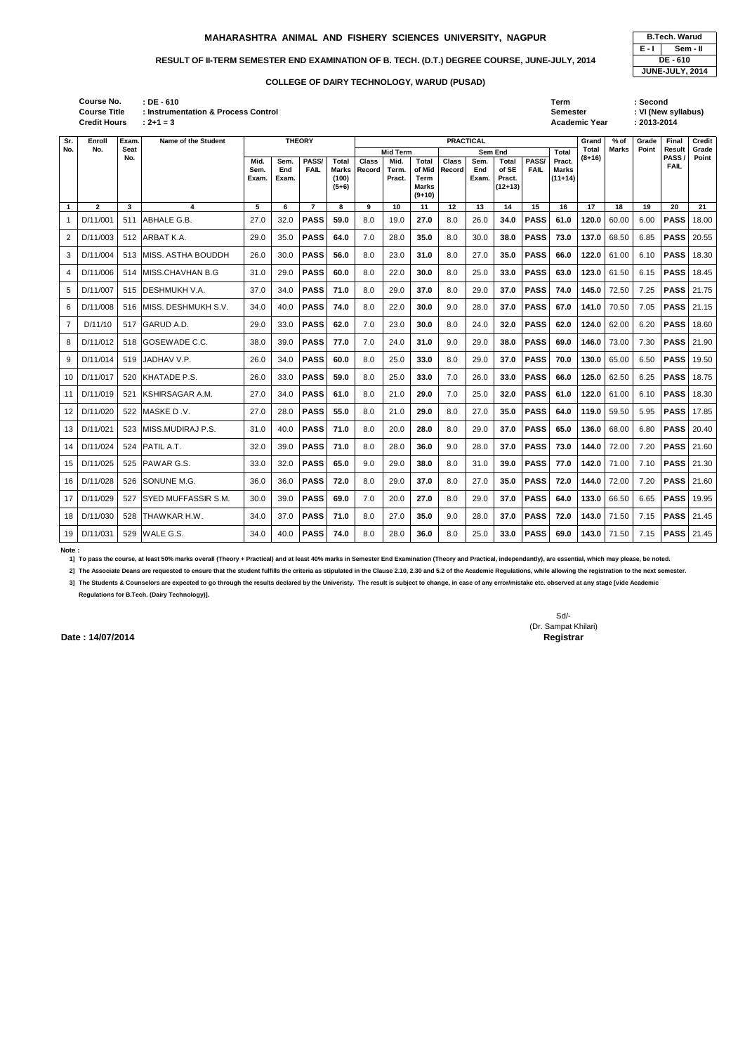| <b>B.Tech. Warud</b> |          |  |  |  |  |  |  |  |
|----------------------|----------|--|--|--|--|--|--|--|
| E - I                | Sem - II |  |  |  |  |  |  |  |
| <b>DE-610</b>        |          |  |  |  |  |  |  |  |
| JUNE-JULY, 2014      |          |  |  |  |  |  |  |  |

13 D/11/021 523 MISS.MUDIRAJ P.S. 31.0 40.0 **PASS 71.0** 8.0 20.0 **28.0** 8.0 29.0 **37.0 PASS 65.0 136.0** 68.00 6.80 **PASS** 20.40

| Course No.          | : DE - 610                          | Term          | Second  |
|---------------------|-------------------------------------|---------------|---------|
| <b>Course Title</b> | : Instrumentation & Process Control | Semester      | VI (New |
| <b>Credit Hours</b> | $: 2 + 1 = 3$                       | Academic Year | 2013-20 |

|                | <b>Course Title</b><br>: Instrumentation & Process Control<br><b>Credit Hours</b><br>$: 2 + 1 = 3$ |                    |                             |                       |                      |                      |                                                  |                 |                                                  |                                                            |                 |                      |                                                                |                      |                                                     | <b>Semester</b><br><b>Academic Year</b> |              | : VI (New syllabus)<br>$: 2013 - 2014$ |                               |                |  |  |
|----------------|----------------------------------------------------------------------------------------------------|--------------------|-----------------------------|-----------------------|----------------------|----------------------|--------------------------------------------------|-----------------|--------------------------------------------------|------------------------------------------------------------|-----------------|----------------------|----------------------------------------------------------------|----------------------|-----------------------------------------------------|-----------------------------------------|--------------|----------------------------------------|-------------------------------|----------------|--|--|
| Sr.            | Enroll                                                                                             | Exam.              | Name of the Student         |                       |                      | <b>THEORY</b>        | <b>PRACTICAL</b>                                 |                 |                                                  |                                                            |                 |                      |                                                                |                      |                                                     | Grand                                   | $%$ of       | Grade                                  | Final                         | <b>Credit</b>  |  |  |
| No.            | No.                                                                                                | <b>Seat</b><br>No. |                             | Mid.<br>Sem.<br>Exam. | Sem.<br>End<br>Exam. | PASS/<br><b>FAIL</b> | <b>Total</b><br><b>Marks</b><br>(100)<br>$(5+6)$ | Class<br>Record | <b>Mid Term</b><br>Mid.<br><b>Term</b><br>Pract. | Total<br>of Mid<br><b>Term</b><br><b>Marks</b><br>$(9+10)$ | Class<br>Record | Sem.<br>End<br>Exam. | <b>Sem End</b><br><b>Total</b><br>of SE<br>Pract.<br>$(12+13)$ | PASS/<br><b>FAIL</b> | <b>Total</b><br>Pract.<br><b>Marks</b><br>$(11+14)$ | <b>Total</b><br>$(8+16)$                | <b>Marks</b> | Point                                  | Result<br>PASS<br><b>FAIL</b> | Grade<br>Point |  |  |
| $\overline{1}$ | $\overline{2}$                                                                                     | 3                  | 4                           | 5                     | 6                    | $\overline{7}$       | 8                                                | 9               | 10                                               | 11                                                         | 12              | 13                   | 14                                                             | 15                   | 16                                                  | 17                                      | 18           | 19                                     | 20                            | 21             |  |  |
| 1              | D/11/001                                                                                           | 511                | ABHALE G.B.                 | 27.0                  | 32.0                 | <b>PASS</b>          | 59.0                                             | 8.0             | 19.0                                             | 27.0                                                       | 8.0             | 26.0                 | 34.0                                                           | <b>PASS</b>          | 61.0                                                | 120.0                                   | 60.00        | 6.00                                   | <b>PASS</b>                   | 18.00          |  |  |
| $\overline{2}$ | D/11/003                                                                                           | 512                | <b>JARBAT K.A.</b>          | 29.0                  | 35.0                 | <b>PASS</b>          | 64.0                                             | 7.0             | 28.0                                             | 35.0                                                       | 8.0             | 30.0                 | 38.0                                                           | <b>PASS</b>          | 73.0                                                | 137.0                                   | 68.50        | 6.85                                   | <b>PASS</b>                   | 20.55          |  |  |
| 3              | D/11/004                                                                                           | 513                | <b>IMISS. ASTHA BOUDDH</b>  | 26.0                  | 30.0                 | <b>PASS</b>          | 56.0                                             | 8.0             | 23.0                                             | 31.0                                                       | 8.0             | 27.0                 | 35.0                                                           | <b>PASS</b>          | 66.0                                                | 122.0                                   | 61.00        | 6.10                                   | <b>PASS</b>                   | 18.30          |  |  |
| 4              | D/11/006                                                                                           | 514                | <b>IMISS.CHAVHAN B.G</b>    | 31.0                  | 29.0                 | <b>PASS</b>          | 60.0                                             | 8.0             | 22.0                                             | 30.0                                                       | 8.0             | 25.0                 | 33.0                                                           | <b>PASS</b>          | 63.0                                                | 123.0                                   | 61.50        | 6.15                                   | <b>PASS</b>                   | 18.45          |  |  |
| 5              | D/11/007                                                                                           | 515                | <b>IDESHMUKH V.A.</b>       | 37.0                  | 34.0                 | <b>PASS</b>          | 71.0                                             | 8.0             | 29.0                                             | 37.0                                                       | 8.0             | 29.0                 | 37.0                                                           | <b>PASS</b>          | 74.0                                                | 145.0                                   | 72.50        | 7.25                                   | <b>PASS</b>                   | 21.75          |  |  |
| 6              | D/11/008                                                                                           | 516                | <b>IMISS. DESHMUKH S.V.</b> | 34.0                  | 40.0                 | <b>PASS</b>          | 74.0                                             | 8.0             | 22.0                                             | 30.0                                                       | 9.0             | 28.0                 | 37.0                                                           | <b>PASS</b>          | 67.0                                                | 141.0                                   | 70.50        | 7.05                                   | <b>PASS</b>                   | 21.15          |  |  |
| $\overline{7}$ | D/11/10                                                                                            | 517                | <b>GARUD A.D.</b>           | 29.0                  | 33.0                 | <b>PASS</b>          | 62.0                                             | 7.0             | 23.0                                             | 30.0                                                       | 8.0             | 24.0                 | 32.0                                                           | <b>PASS</b>          | 62.0                                                | 124.0                                   | 62.00        | 6.20                                   | <b>PASS</b>                   | 18.60          |  |  |
| 8              | D/11/012                                                                                           | 518                | <b>IGOSEWADE C.C.</b>       | 38.0                  | 39.0                 | <b>PASS</b>          | 77.0                                             | 7.0             | 24.0                                             | 31.0                                                       | 9.0             | 29.0                 | 38.0                                                           | <b>PASS</b>          | 69.0                                                | 146.0                                   | 73.00        | 7.30                                   | <b>PASS</b>                   | 21.90          |  |  |
| 9              | D/11/014                                                                                           | 519                | IJADHAV V.P.                | 26.0                  | 34.0                 | <b>PASS</b>          | 60.0                                             | 8.0             | 25.0                                             | 33.0                                                       | 8.0             | 29.0                 | 37.0                                                           | <b>PASS</b>          | 70.0                                                | 130.0                                   | 65.00        | 6.50                                   | <b>PASS</b>                   | 19.50          |  |  |
| 10             | D/11/017                                                                                           | 520                | <b>IKHATADE P.S.</b>        | 26.0                  | 33.0                 | <b>PASS</b>          | 59.0                                             | 8.0             | 25.0                                             | 33.0                                                       | 7.0             | 26.0                 | 33.0                                                           | <b>PASS</b>          | 66.0                                                | 125.0                                   | 62.50        | 6.25                                   | <b>PASS</b>                   | 18.75          |  |  |
| 11             | D/11/019                                                                                           | 521                | IKSHIRSAGAR A.M.            | 27.0                  | 34.0                 | <b>PASS</b>          | 61.0                                             | 8.0             | 21.0                                             | 29.0                                                       | 7.0             | 25.0                 | 32.0                                                           | <b>PASS</b>          | 61.0                                                | 122.0                                   | 61.00        | 6.10                                   | <b>PASS</b>                   | 18.30          |  |  |
|                | 12 D/11/020                                                                                        |                    | 522 IMASKE D .V.            | 27.0                  | 28.0                 | <b>PASS</b>          | 55.0                                             | 8.0             | 21.0                                             | 29.0                                                       | 8.0             | 27.0                 | 35.0                                                           | <b>PASS</b>          | 64.0                                                |                                         | 119.0 59.50  | 5.95                                   | <b>PASS</b> 17.85             |                |  |  |

14 D/11/024 524 PATIL A.T. 32.0 39.0 **PASS 71.0** 8.0 28.0 **36.0** 9.0 28.0 **37.0 PASS 73.0 144.0** 72.00 7.20 **PASS** 21.60 15 D/11/025 525 PAWAR G.S. 33.0 32.0 **PASS 65.0** 9.0 29.0 **38.0** 8.0 31.0 **39.0 PASS 77.0 142.0** 71.00 7.10 **PASS** 21.30 16 D/11/028 526 SONUNE M.G. 36.0 36.0 **PASS 72.0** 8.0 29.0 **37.0** 8.0 27.0 **35.0 PASS 72.0 144.0** 72.00 7.20 **PASS** 21.60

17 D/11/029 527 SYED MUFFASSIR S.M. 30.0 39.0 **PASS 69.0** 7.0 20.0 **27.0** 8.0 29.0 **37.0 PASS 64.0 133.0** 66.50 6.65 **PASS** 19.95

18 D/11/030 528 THAWKAR H.W. 34.0 37.0 **PASS 71.0** 8.0 27.0 **35.0** 9.0 28.0 **37.0 PASS 72.0 143.0** 71.50 7.15 **PASS** 21.45

19 D/11/031 529 WALE G.S. 34.0 40.0 **PASS 74.0** 8.0 28.0 **36.0** 8.0 25.0 **33.0 PASS 69.0 143.0** 71.50 7.15 **PASS** 21.45

**Note :** 

**1] To pass the course, at least 50% marks overall (Theory + Practical) and at least 40% marks in Semester End Examination (Theory and Practical, independantly), are essential, which may please, be noted.**

**2] The Associate Deans are requested to ensure that the student fulfills the criteria as stipulated in the Clause 2.10, 2.30 and 5.2 of the Academic Regulations, while allowing the registration to the next semester.**

**3] The Students & Counselors are expected to go through the results declared by the Univeristy. The result is subject to change, in case of any error/mistake etc. observed at any stage [vide Academic Regulations for B.Tech. (Dairy Technology)].**

> Sd/- (Dr. Sampat Khilari)

**Date : 14/07/2014** Registrar

**Sr. No.**

# **MAHARASHTRA ANIMAL AND FISHERY SCIENCES UNIVERSITY, NAGPUR**

## RESULT OF II-TERM SEMESTER END EXAMINATION OF B. TECH. (D.T.) DEGREE COURSE, JUNE-JULY, 2014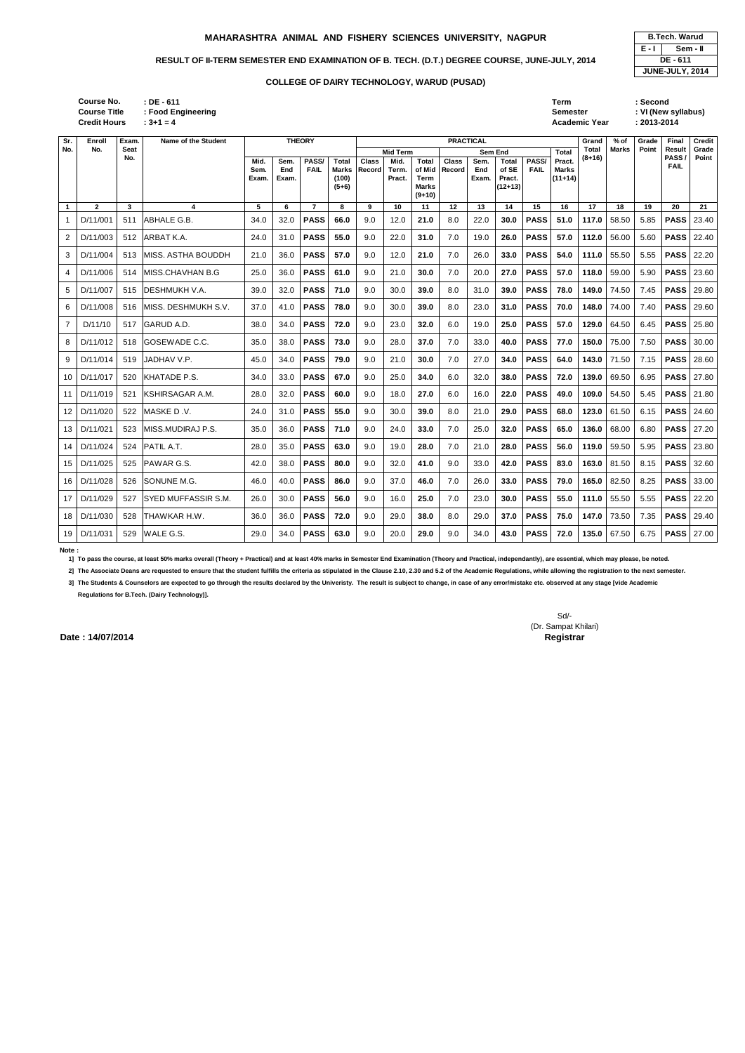4 D/11/006 514 MISS.CHAVHAN B.G 25.0 36.0 **PASS 61.0** 9.0 21.0 **30.0** 7.0 20.0 **27.0 PASS 57.0 118.0** 59.00 5.90 **PASS** 23.60

5 D/11/007 515 DESHMUKH V.A. 39.0 32.0 **PASS 71.0** 9.0 30.0 **39.0** 8.0 31.0 **39.0 PASS 78.0 149.0** 74.50 7.45 **PASS** 29.80 6 D/11/008 516 MISS. DESHMUKH S.V. 37.0 41.0 **PASS 78.0** 9.0 30.0 **39.0** 8.0 23.0 **31.0 PASS 70.0 148.0** 74.00 7.40 **PASS** 29.60

7 D/11/10 517 GARUD A.D. 38.0 34.0 **PASS 72.0** 9.0 23.0 **32.0** 6.0 19.0 **25.0 PASS 57.0 129.0** 64.50 6.45 **PASS** 25.80 8 D/11/012 518 GOSEWADE C.C. 35.0 38.0 **PASS 73.0** 9.0 28.0 **37.0** 7.0 33.0 **40.0 PASS 77.0 150.0** 75.00 7.50 **PASS** 30.00 9 D/11/014 519 JADHAV V.P. 45.0 34.0 **PASS 79.0** 9.0 21.0 **30.0** 7.0 27.0 **34.0 PASS 64.0 143.0** 71.50 7.15 **PASS** 28.60

| <b>B.Tech. Warud</b> |  |  |  |  |  |  |  |  |
|----------------------|--|--|--|--|--|--|--|--|
| E - I<br>Sem - II    |  |  |  |  |  |  |  |  |
| DE - 611             |  |  |  |  |  |  |  |  |
| JUNE-JULY, 2014      |  |  |  |  |  |  |  |  |

|    | Course No.<br><b>Course Title</b><br><b>Credit Hours</b> |             | $:$ DE - 611<br>: Food Engineering<br>$: 3 + 1 = 4$ |                       |                      |                      |                                           |                        |                                            |                                              |                        |                      |                                                         |                      | Term<br><b>Semester</b>                      | Academic Year     |              | : Second<br>$: 2013 - 2014$ | : VI (New syllabus)           |                |
|----|----------------------------------------------------------|-------------|-----------------------------------------------------|-----------------------|----------------------|----------------------|-------------------------------------------|------------------------|--------------------------------------------|----------------------------------------------|------------------------|----------------------|---------------------------------------------------------|----------------------|----------------------------------------------|-------------------|--------------|-----------------------------|-------------------------------|----------------|
|    | Enroll                                                   | Exam.       | Name of the Student                                 |                       |                      | <b>THEORY</b>        |                                           |                        |                                            |                                              |                        | <b>PRACTICAL</b>     |                                                         |                      |                                              | Grand             | $%$ of       | Grade                       | Final                         | Credit         |
| о. | No.                                                      | Seat<br>No. |                                                     | Mid.<br>Sem.<br>Exam. | Sem.<br>End<br>Exam. | PASS/<br><b>FAIL</b> | <b>Total</b><br>Marks<br>(100)<br>$(5+6)$ | <b>Class</b><br>Record | <b>Mid Term</b><br>Mid.<br>Term.<br>Pract. | Total<br>of Mid<br>Term<br>Marks<br>$(9+10)$ | <b>Class</b><br>Record | Sem.<br>End<br>Exam. | Sem End<br><b>Total</b><br>of SE<br>Pract.<br>$(12+13)$ | PASS/<br><b>FAIL</b> | <b>Total</b><br>Pract.<br>Marks<br>$(11+14)$ | Total<br>$(8+16)$ | <b>Marks</b> | Point                       | Result<br>PASS<br><b>FAIL</b> | Grade<br>Point |
|    | 2                                                        | 3           |                                                     | 5                     | 6.                   |                      | 8                                         | 9                      | 10                                         | 11                                           | 12                     | 13                   | 14                                                      | 15                   | 16                                           | 17                | 18           | 19                          | 20                            | 21             |
|    | D/11/001                                                 | 511         | <b>ABHALE G.B.</b>                                  | 34.0                  | 32.0                 | <b>PASS</b>          | 66.0                                      | 9.0                    | 12.0                                       | 21.0                                         | 8.0                    | 22.0                 | 30.0                                                    | <b>PASS</b>          | 51.0                                         | 117.0             | 58.50        | 5.85                        | <b>PASS</b>                   | 23.40          |
|    | D/11/003                                                 | 512         | <b>ARBAT K.A.</b>                                   | 24.0                  | 31.0                 | <b>PASS</b>          | 55.0                                      | 9.0                    | 22.0                                       | 31.0                                         | 7.0                    | 19.0                 | 26.0                                                    | <b>PASS</b>          | 57.0                                         | 112.0             | 56.00        | 5.60                        | <b>PASS</b>                   | 22.40          |
|    | D/11/004                                                 | 513         | IMISS. ASTHA BOUDDH                                 | 21.0                  | 36.0                 | <b>PASS</b>          | 57.0                                      | 9.0                    | 12.0                                       | 21.0                                         | 7.0                    | 26.0                 | 33.0                                                    | <b>PASS</b>          | 54.0                                         | 111.0             | 55.50        | 5.55                        | <b>PASS</b>                   | 22.20          |

10 D/11/017 520 KHATADE P.S. 34.0 33.0 **PASS 67.0** 9.0 25.0 **34.0** 6.0 32.0 **38.0 PASS 72.0 139.0** 69.50 6.95 **PASS** 27.80 11 D/11/019 521 KSHIRSAGAR A.M. 28.0 32.0 **PASS 60.0** 9.0 18.0 **27.0** 6.0 16.0 **22.0 PASS 49.0 109.0** 54.50 5.45 **PASS** 21.80 12 D/11/020 522 MASKE D .V. 24.0 31.0 **PASS 55.0** 9.0 30.0 **39.0** 8.0 21.0 **29.0 PASS 68.0 123.0** 61.50 6.15 **PASS** 24.60 13 D/11/021 523 MISS.MUDIRAJ P.S. 35.0 36.0 **PASS 71.0** 9.0 24.0 **33.0** 7.0 25.0 **32.0 PASS 65.0 136.0** 68.00 6.80 **PASS** 27.20 14 D/11/024 524 PATIL A.T. 28.0 35.0 **PASS 63.0** 9.0 19.0 **28.0** 7.0 21.0 **28.0 PASS 56.0 119.0** 59.50 5.95 **PASS** 23.80 15 D/11/025 525 PAWAR G.S. 42.0 38.0 **PASS 80.0** 9.0 32.0 **41.0** 9.0 33.0 **42.0 PASS 83.0 163.0** 81.50 8.15 **PASS** 32.60 16 D/11/028 526 SONUNE M.G. 46.0 40.0 **PASS 86.0** 9.0 37.0 **46.0** 7.0 26.0 **33.0 PASS 79.0 165.0** 82.50 8.25 **PASS** 33.00 17 D/11/029 527 SYED MUFFASSIR S.M. 26.0 30.0 **PASS 56.0** 9.0 16.0 **25.0** 7.0 23.0 **30.0 PASS 55.0 111.0** 55.50 5.55 **PASS** 22.20 18 D/11/030 528 THAWKAR H.W. 36.0 36.0 **PASS 72.0** 9.0 29.0 **38.0** 8.0 29.0 **37.0 PASS 75.0 147.0** 73.50 7.35 **PASS** 29.40 19 D/11/031 529 WALE G.S. 29.0 34.0 **PASS 63.0** 9.0 20.0 **29.0** 9.0 34.0 **43.0 PASS 72.0 135.0** 67.50 6.75 **PASS** 27.00

**Note :** 

**1] To pass the course, at least 50% marks overall (Theory + Practical) and at least 40% marks in Semester End Examination (Theory and Practical, independantly), are essential, which may please, be noted.**

**2] The Associate Deans are requested to ensure that the student fulfills the criteria as stipulated in the Clause 2.10, 2.30 and 5.2 of the Academic Regulations, while allowing the registration to the next semester.**

**3] The Students & Counselors are expected to go through the results declared by the Univeristy. The result is subject to change, in case of any error/mistake etc. observed at any stage [vide Academic Regulations for B.Tech. (Dairy Technology)].**

> Sd/- (Dr. Sampat Khilari)

**Date : 14/07/2014** Registrar

**Sr. No.**

### **MAHARASHTRA ANIMAL AND FISHERY SCIENCES UNIVERSITY, NAGPUR**

#### **RESULT OF II-TERM SEMESTER END EXAMINATION OF B. TECH. (D.T.) DEGREE COURSE, JUNE-JULY, 2014**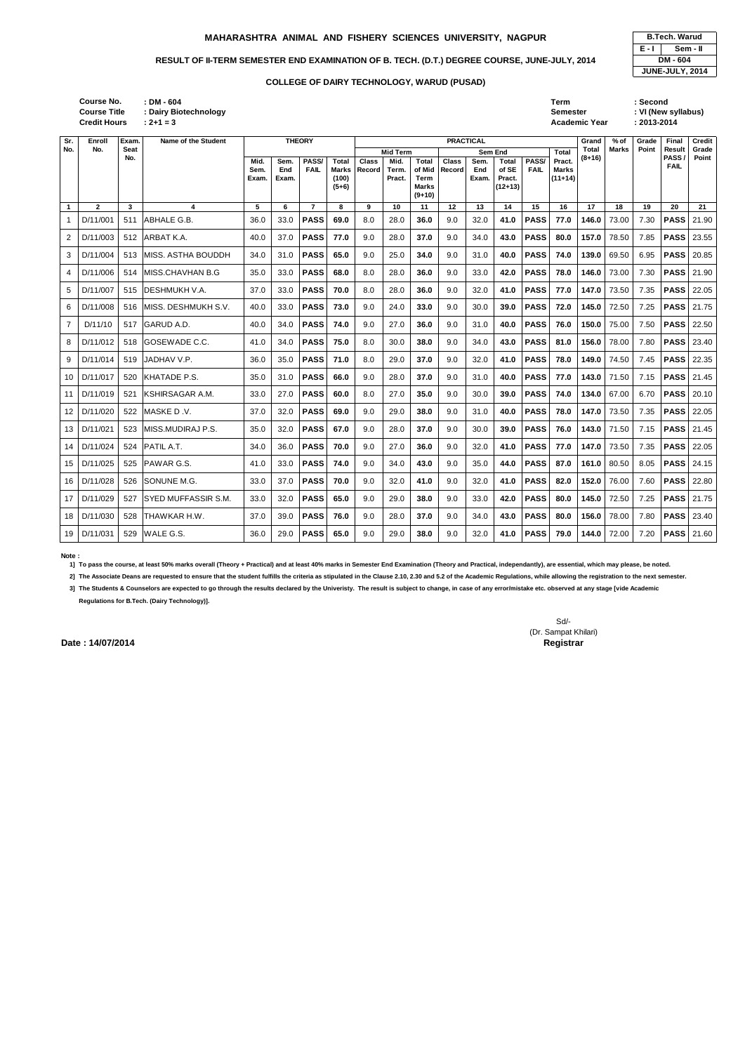|                |              |     |                            | Exam. | Exam. |                | (100)<br>$(5+6)$ |     | Pract. | Term<br><b>Marks</b><br>$(9+10)$ |     | Exam. | Pract.<br>(12+13) |             | $(11+14)$ |       |       |      |             |       |
|----------------|--------------|-----|----------------------------|-------|-------|----------------|------------------|-----|--------|----------------------------------|-----|-------|-------------------|-------------|-----------|-------|-------|------|-------------|-------|
| $\mathbf{1}$   | $\mathbf{2}$ | 3   | 4                          | 5     | 6     | $\overline{7}$ | 8                | 9   | 10     | 11                               | 12  | 13    | 14                | 15          | 16        | 17    | 18    | 19   | 20          | 21    |
| -1             | D/11/001     | 511 | ABHALE G.B.                | 36.0  | 33.0  | <b>PASS</b>    | 69.0             | 8.0 | 28.0   | 36.0                             | 9.0 | 32.0  | 41.0              | <b>PASS</b> | 77.0      | 146.0 | 73.00 | 7.30 | <b>PASS</b> | 21.90 |
| 2              | D/11/003     | 512 | ARBAT K.A.                 | 40.0  | 37.0  | <b>PASS</b>    | 77.0             | 9.0 | 28.0   | 37.0                             | 9.0 | 34.0  | 43.0              | <b>PASS</b> | 80.0      | 157.0 | 78.50 | 7.85 | <b>PASS</b> | 23.55 |
| 3              | D/11/004     | 513 | MISS. ASTHA BOUDDH         | 34.0  | 31.0  | <b>PASS</b>    | 65.0             | 9.0 | 25.0   | 34.0                             | 9.0 | 31.0  | 40.0              | <b>PASS</b> | 74.0      | 139.0 | 69.50 | 6.95 | <b>PASS</b> | 20.85 |
| 4              | D/11/006     | 514 | MISS.CHAVHAN B.G           | 35.0  | 33.0  | <b>PASS</b>    | 68.0             | 8.0 | 28.0   | 36.0                             | 9.0 | 33.0  | 42.0              | <b>PASS</b> | 78.0      | 146.0 | 73.00 | 7.30 | <b>PASS</b> | 21.90 |
| 5              | D/11/007     | 515 | IDESHMUKH V.A.             | 37.0  | 33.0  | <b>PASS</b>    | 70.0             | 8.0 | 28.0   | 36.0                             | 9.0 | 32.0  | 41.0              | <b>PASS</b> | 77.0      | 147.0 | 73.50 | 7.35 | <b>PASS</b> | 22.05 |
| 6              | D/11/008     | 516 | IMISS. DESHMUKH S.V.       | 40.0  | 33.0  | <b>PASS</b>    | 73.0             | 9.0 | 24.0   | 33.0                             | 9.0 | 30.0  | 39.0              | <b>PASS</b> | 72.0      | 145.0 | 72.50 | 7.25 | <b>PASS</b> | 21.75 |
| $\overline{7}$ | D/11/10      | 517 | <b>GARUD A.D.</b>          | 40.0  | 34.0  | <b>PASS</b>    | 74.0             | 9.0 | 27.0   | 36.0                             | 9.0 | 31.0  | 40.0              | <b>PASS</b> | 76.0      | 150.0 | 75.00 | 7.50 | <b>PASS</b> | 22.50 |
| 8              | D/11/012     | 518 | GOSEWADE C.C.              | 41.0  | 34.0  | <b>PASS</b>    | 75.0             | 8.0 | 30.0   | 38.0                             | 9.0 | 34.0  | 43.0              | <b>PASS</b> | 81.0      | 156.0 | 78.00 | 7.80 | <b>PASS</b> | 23.40 |
| 9              | D/11/014     | 519 | JADHAV V.P.                | 36.0  | 35.0  | <b>PASS</b>    | 71.0             | 8.0 | 29.0   | 37.0                             | 9.0 | 32.0  | 41.0              | <b>PASS</b> | 78.0      | 149.0 | 74.50 | 7.45 | <b>PASS</b> | 22.35 |
| 10             | D/11/017     | 520 | KHATADE P.S.               | 35.0  | 31.0  | <b>PASS</b>    | 66.0             | 9.0 | 28.0   | 37.0                             | 9.0 | 31.0  | 40.0              | <b>PASS</b> | 77.0      | 143.0 | 71.50 | 7.15 | <b>PASS</b> | 21.45 |
| 11             | D/11/019     | 521 | <b>KSHIRSAGAR A.M.</b>     | 33.0  | 27.0  | <b>PASS</b>    | 60.0             | 8.0 | 27.0   | 35.0                             | 9.0 | 30.0  | 39.0              | <b>PASS</b> | 74.0      | 134.0 | 67.00 | 6.70 | <b>PASS</b> | 20.10 |
| 12             | D/11/020     | 522 | MASKE D.V.                 | 37.0  | 32.0  | <b>PASS</b>    | 69.0             | 9.0 | 29.0   | 38.0                             | 9.0 | 31.0  | 40.0              | <b>PASS</b> | 78.0      | 147.0 | 73.50 | 7.35 | <b>PASS</b> | 22.05 |
| 13             | D/11/021     | 523 | MISS.MUDIRAJ P.S.          | 35.0  | 32.0  | <b>PASS</b>    | 67.0             | 9.0 | 28.0   | 37.0                             | 9.0 | 30.0  | 39.0              | <b>PASS</b> | 76.0      | 143.0 | 71.50 | 7.15 | <b>PASS</b> | 21.45 |
| 14             | D/11/024     | 524 | <b>PATIL A.T.</b>          | 34.0  | 36.0  | <b>PASS</b>    | 70.0             | 9.0 | 27.0   | 36.0                             | 9.0 | 32.0  | 41.0              | <b>PASS</b> | 77.0      | 147.0 | 73.50 | 7.35 | <b>PASS</b> | 22.05 |
| 15             | D/11/025     | 525 | <b>PAWAR G.S.</b>          | 41.0  | 33.0  | <b>PASS</b>    | 74.0             | 9.0 | 34.0   | 43.0                             | 9.0 | 35.0  | 44.0              | <b>PASS</b> | 87.0      | 161.0 | 80.50 | 8.05 | <b>PASS</b> | 24.15 |
| 16             | D/11/028     | 526 | SONUNE M.G.                | 33.0  | 37.0  | <b>PASS</b>    | 70.0             | 9.0 | 32.0   | 41.0                             | 9.0 | 32.0  | 41.0              | <b>PASS</b> | 82.0      | 152.0 | 76.00 | 7.60 | <b>PASS</b> | 22.80 |
| 17             | D/11/029     | 527 | <b>SYED MUFFASSIR S.M.</b> | 33.0  | 32.0  | <b>PASS</b>    | 65.0             | 9.0 | 29.0   | 38.0                             | 9.0 | 33.0  | 42.0              | <b>PASS</b> | 80.0      | 145.0 | 72.50 | 7.25 | <b>PASS</b> | 21.75 |
| 18             | D/11/030     | 528 | THAWKAR H.W.               | 37.0  | 39.0  | <b>PASS</b>    | 76.0             | 9.0 | 28.0   | 37.0                             | 9.0 | 34.0  | 43.0              | <b>PASS</b> | 80.0      | 156.0 | 78.00 | 7.80 | <b>PASS</b> | 23.40 |
| 19             | D/11/031     | 529 | WALE G.S.                  | 36.0  | 29.0  | <b>PASS</b>    | 65.0             | 9.0 | 29.0   | 38.0                             | 9.0 | 32.0  | 41.0              | <b>PASS</b> | 79.0      | 144.0 | 72.00 | 7.20 | <b>PASS</b> | 21.60 |

**Credit Hours Course No. Course Title** 

|       | <b>B.Tech. Warud</b> |
|-------|----------------------|
| E - I | Sem - II             |
|       | DM - 604             |
|       | JUNE-JULY, 2014      |

| :le<br>ırs    | $: DM - 604$<br>: Dairy Biotechnology<br>$: 2 + 1 = 3$ |                       |                      |                      |                         |                                |                                     |                        |                                 |                      |                                                      |                             | Term<br><b>Semester</b>                      | <b>Academic Year</b> |               | : Second<br>: VI (New syllabus)<br>$: 2013 - 2014$ |                      |                 |
|---------------|--------------------------------------------------------|-----------------------|----------------------|----------------------|-------------------------|--------------------------------|-------------------------------------|------------------------|---------------------------------|----------------------|------------------------------------------------------|-----------------------------|----------------------------------------------|----------------------|---------------|----------------------------------------------------|----------------------|-----------------|
| Exam.<br>Seat | Name of the Student                                    |                       |                      | <b>THEORY</b>        |                         |                                |                                     |                        | <b>PRACTICAL</b>                |                      |                                                      |                             |                                              | Grand<br>Total       | % of<br>Marks | Grade<br>Point                                     | Final<br>Result      | Credit<br>Grade |
| No.           |                                                        | Mid.<br>Sem.<br>Exam. | Sem.<br>End<br>Exam. | PASS/<br><b>FAIL</b> | Total<br>(100)<br>(5.6) | <b>Class</b><br>Marks   Record | Mid Term<br>Mid.<br>Term.<br>Pract. | Total<br>Term<br>Marke | <b>Class</b><br>of Mid   Record | Sem.<br>End<br>Exam. | Sem End<br><b>Total</b><br>of SE<br>Pract.<br>112.12 | <b>PASS/</b><br><b>FAIL</b> | <b>Total</b><br>Pract.<br>Marks<br>$(11+14)$ | $(8+16)$             |               |                                                    | PASS/<br><b>FAIL</b> | Point           |

**Note :** 

**1] To pass the course, at least 50% marks overall (Theory + Practical) and at least 40% marks in Semester End Examination (Theory and Practical, independantly), are essential, which may please, be noted.**

**2] The Associate Deans are requested to ensure that the student fulfills the criteria as stipulated in the Clause 2.10, 2.30 and 5.2 of the Academic Regulations, while allowing the registration to the next semester.**

**3] The Students & Counselors are expected to go through the results declared by the Univeristy. The result is subject to change, in case of any error/mistake etc. observed at any stage [vide Academic** 

**Regulations for B.Tech. (Dairy Technology)].**

Sd/- (Dr. Sampat Khilari)

**Date : 14/07/2014** Registrar

**Sr. No.** **Enroll No.**

# **MAHARASHTRA ANIMAL AND FISHERY SCIENCES UNIVERSITY, NAGPUR**

# RESULT OF II-TERM SEMESTER END EXAMINATION OF B. TECH. (D.T.) DEGREE COURSE, JUNE-JULY, 2014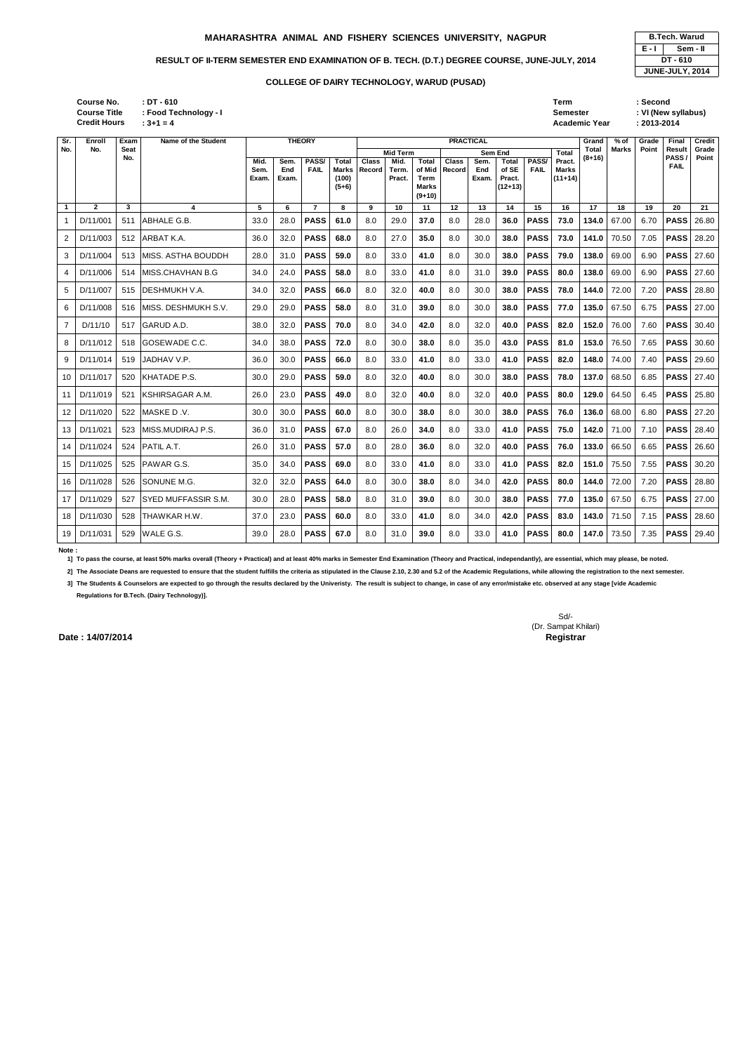| : DT - 610            | Term          | Second    |
|-----------------------|---------------|-----------|
| : Food Technology - I | Semester      | : VI (New |
| $.3 + 1 - 1$          | Academic Vear | 2013-20   |

**(New syllabus)** 

|                   | <b>B.Tech. Warud</b>   |  |  |  |  |  |  |  |  |  |  |
|-------------------|------------------------|--|--|--|--|--|--|--|--|--|--|
| E - I<br>Sem - II |                        |  |  |  |  |  |  |  |  |  |  |
|                   | DT-610                 |  |  |  |  |  |  |  |  |  |  |
|                   | <b>JUNE-JULY, 2014</b> |  |  |  |  |  |  |  |  |  |  |

**: 3+1 = 4 Academic Year : 2013-2014 Credit Hours Course No. Course Title : Food Technology - I**

| Sr.                  | Enroll       | Exam        | Name of the Student  |                       |                      | <b>THEORY</b>        |                                           |                        |                         |                                                            | <b>PRACTICAL</b>              |                      |                                              |                      |                                     | Grand           | $%$ of | Grade | Final          | <b>Credit</b>  |
|----------------------|--------------|-------------|----------------------|-----------------------|----------------------|----------------------|-------------------------------------------|------------------------|-------------------------|------------------------------------------------------------|-------------------------------|----------------------|----------------------------------------------|----------------------|-------------------------------------|-----------------|--------|-------|----------------|----------------|
| No.                  | No.          | Seat<br>No. |                      |                       |                      |                      |                                           |                        | <b>Mid Term</b>         |                                                            |                               | <b>Sem End</b>       |                                              |                      | <b>Total</b>                        | Total<br>(8+16) | Marks  | Point | Result<br>PASS | Grade<br>Point |
|                      |              |             |                      | Mid.<br>Sem.<br>Exam. | Sem.<br>End<br>Exam. | PASS/<br><b>FAIL</b> | Total<br><b>Marks</b><br>(100)<br>$(5+6)$ | <b>Class</b><br>Record | Mid.<br>Term.<br>Pract. | <b>Total</b><br>of Mid<br>Term<br><b>Marks</b><br>$(9+10)$ | <b>Class</b><br><b>Record</b> | Sem.<br>End<br>Exam. | <b>Total</b><br>of SE<br>Pract.<br>$(12+13)$ | PASS/<br><b>FAIL</b> | Pract.<br><b>Marks</b><br>$(11+14)$ |                 |        |       | <b>FAIL</b>    |                |
| $\blacktriangleleft$ | $\mathbf{2}$ | 3           | 4                    | 5                     | 6                    | $\overline{7}$       | 8                                         | 9                      | 10                      | 11                                                         | 12                            | 13                   | 14                                           | 15                   | 16                                  | 17              | 18     | 19    | 20             | 21             |
| 1                    | D/11/001     | 511         | <b>ABHALE G.B</b>    | 33.0                  | 28.0                 | <b>PASS</b>          | 61.0                                      | 8.0                    | 29.0                    | 37.0                                                       | 8.0                           | 28.0                 | 36.0                                         | <b>PASS</b>          | 73.0                                | 134.0           | 67.00  | 6.70  | <b>PASS</b>    | 26.80          |
| 2                    | D/11/003     | 512         | ARBAT K.A.           | 36.0                  | 32.0                 | <b>PASS</b>          | 68.0                                      | 8.0                    | 27.0                    | 35.0                                                       | 8.0                           | 30.0                 | 38.0                                         | <b>PASS</b>          | 73.0                                | 141.0           | 70.50  | 7.05  | <b>PASS</b>    | 28.20          |
| 3                    | D/11/004     | 513         | MISS. ASTHA BOUDDH   | 28.0                  | 31.0                 | <b>PASS</b>          | 59.0                                      | 8.0                    | 33.0                    | 41.0                                                       | 8.0                           | 30.0                 | 38.0                                         | <b>PASS</b>          | 79.0                                | 138.0           | 69.00  | 6.90  | <b>PASS</b>    | 27.60          |
| 4                    | D/11/006     | 514         | MISS.CHAVHAN B.G     | 34.0                  | 24.0                 | <b>PASS</b>          | 58.0                                      | 8.0                    | 33.0                    | 41.0                                                       | 8.0                           | 31.0                 | 39.0                                         | <b>PASS</b>          | 80.0                                | 138.0           | 69.00  | 6.90  | <b>PASS</b>    | 27.60          |
| 5                    | D/11/007     | 515         | <b>DESHMUKH V.A.</b> | 34.0                  | 32.0                 | <b>PASS</b>          | 66.0                                      | 8.0                    | 32.0                    | 40.0                                                       | 8.0                           | 30.0                 | 38.0                                         | <b>PASS</b>          | 78.0                                | 144.0           | 72.00  | 7.20  | <b>PASS</b>    | 28.80          |
| 6                    | D/11/008     | 516         | MISS. DESHMUKH S.V.  | 29.0                  | 29.0                 | <b>PASS</b>          | 58.0                                      | 8.0                    | 31.0                    | 39.0                                                       | 8.0                           | 30.0                 | 38.0                                         | <b>PASS</b>          | 77.0                                | 135.0           | 67.50  | 6.75  | <b>PASS</b>    | 27.00          |
| 7                    | D/11/10      | 517         | GARUD A.D.           | 38.0                  | 32.0                 | <b>PASS</b>          | 70.0                                      | 8.0                    | 34.0                    | 42.0                                                       | 8.0                           | 32.0                 | 40.0                                         | <b>PASS</b>          | 82.0                                | 152.0           | 76.00  | 7.60  | <b>PASS</b>    | 30.40          |
| 8                    | D/11/012     | 518         | GOSEWADE C.C.        | 34.0                  | 38.0                 | <b>PASS</b>          | 72.0                                      | 8.0                    | 30.0                    | 38.0                                                       | 8.0                           | 35.0                 | 43.0                                         | <b>PASS</b>          | 81.0                                | 153.0           | 76.50  | 7.65  | <b>PASS</b>    | 30.60          |
| 9                    | D/11/014     | 519         | JADHAV V.P.          | 36.0                  | 30.0                 | <b>PASS</b>          | 66.0                                      | 8.0                    | 33.0                    | 41.0                                                       | 8.0                           | 33.0                 | 41.0                                         | <b>PASS</b>          | 82.0                                | 148.0           | 74.00  | 7.40  | <b>PASS</b>    | 29.60          |
| 10                   | D/11/017     | 520         | KHATADE P.S.         | 30.0                  | 29.0                 | <b>PASS</b>          | 59.0                                      | 8.0                    | 32.0                    | 40.0                                                       | 8.0                           | 30.0                 | 38.0                                         | <b>PASS</b>          | 78.0                                | 137.0           | 68.50  | 6.85  | <b>PASS</b>    | 27.40          |
| 11                   | D/11/019     | 521         | KSHIRSAGAR A.M.      | 26.0                  | 23.0                 | <b>PASS</b>          | 49.0                                      | 8.0                    | 32.0                    | 40.0                                                       | 8.0                           | 32.0                 | 40.0                                         | <b>PASS</b>          | 80.0                                | 129.0           | 64.50  | 6.45  | <b>PASS</b>    | 25.80          |
| 12                   | D/11/020     | 522         | MASKE D.V.           | 30.0                  | 30.0                 | <b>PASS</b>          | 60.0                                      | 8.0                    | 30.0                    | 38.0                                                       | 8.0                           | 30.0                 | 38.0                                         | <b>PASS</b>          | 76.0                                | 136.0           | 68.00  | 6.80  | <b>PASS</b>    | 27.20          |
| 13                   | D/11/021     | 523         | MISS.MUDIRAJ P.S.    | 36.0                  | 31.0                 | <b>PASS</b>          | 67.0                                      | 8.0                    | 26.0                    | 34.0                                                       | 8.0                           | 33.0                 | 41.0                                         | <b>PASS</b>          | 75.0                                | 142.0           | 71.00  | 7.10  | <b>PASS</b>    | 28.40          |
| 14                   | D/11/024     | 524         | PATIL A.T.           | 26.0                  | 31.0                 | <b>PASS</b>          | 57.0                                      | 8.0                    | 28.0                    | 36.0                                                       | 8.0                           | 32.0                 | 40.0                                         | <b>PASS</b>          | 76.0                                | 133.0           | 66.50  | 6.65  | <b>PASS</b>    | 26.60          |
| 15                   | D/11/025     | 525         | PAWAR G.S.           | 35.0                  | 34.0                 | <b>PASS</b>          | 69.0                                      | 8.0                    | 33.0                    | 41.0                                                       | 8.0                           | 33.0                 | 41.0                                         | <b>PASS</b>          | 82.0                                | 151.0           | 75.50  | 7.55  | <b>PASS</b>    | 30.20          |
| 16                   | D/11/028     | 526         | SONUNE M.G.          | 32.0                  | 32.0                 | <b>PASS</b>          | 64.0                                      | 8.0                    | 30.0                    | 38.0                                                       | 8.0                           | 34.0                 | 42.0                                         | <b>PASS</b>          | 80.0                                | 144.0           | 72.00  | 7.20  | <b>PASS</b>    | 28.80          |
| 17                   | D/11/029     | 527         | SYED MUFFASSIR S.M.  | 30.0                  | 28.0                 | <b>PASS</b>          | 58.0                                      | 8.0                    | 31.0                    | 39.0                                                       | 8.0                           | 30.0                 | 38.0                                         | <b>PASS</b>          | 77.0                                | 135.0           | 67.50  | 6.75  | <b>PASS</b>    | 27.00          |
| 18                   | D/11/030     | 528         | THAWKAR H.W.         | 37.0                  | 23.0                 | <b>PASS</b>          | 60.0                                      | 8.0                    | 33.0                    | 41.0                                                       | 8.0                           | 34.0                 | 42.0                                         | <b>PASS</b>          | 83.0                                | 143.0           | 71.50  | 7.15  | <b>PASS</b>    | 28.60          |
| 19                   | D/11/031     | 529         | WALE G.S.            | 39.0                  | 28.0                 | <b>PASS</b>          | 67.0                                      | 8.0                    | 31.0                    | 39.0                                                       | 8.0                           | 33.0                 | 41.0                                         | <b>PASS</b>          | 80.0                                | 147.0           | 73.50  | 7.35  | <b>PASS</b>    | 29.40          |

**Note :** 

**1] To pass the course, at least 50% marks overall (Theory + Practical) and at least 40% marks in Semester End Examination (Theory and Practical, independantly), are essential, which may please, be noted.**

**2] The Associate Deans are requested to ensure that the student fulfills the criteria as stipulated in the Clause 2.10, 2.30 and 5.2 of the Academic Regulations, while allowing the registration to the next semester.**

**3] The Students & Counselors are expected to go through the results declared by the Univeristy. The result is subject to change, in case of any error/mistake etc. observed at any stage [vide Academic** 

**Regulations for B.Tech. (Dairy Technology)].**

Sd/- (Dr. Sampat Khilari)

**Date : 14/07/2014** Registrar

# **MAHARASHTRA ANIMAL AND FISHERY SCIENCES UNIVERSITY, NAGPUR**

# RESULT OF II-TERM SEMESTER END EXAMINATION OF B. TECH. (D.T.) DEGREE COURSE, JUNE-JULY, 2014